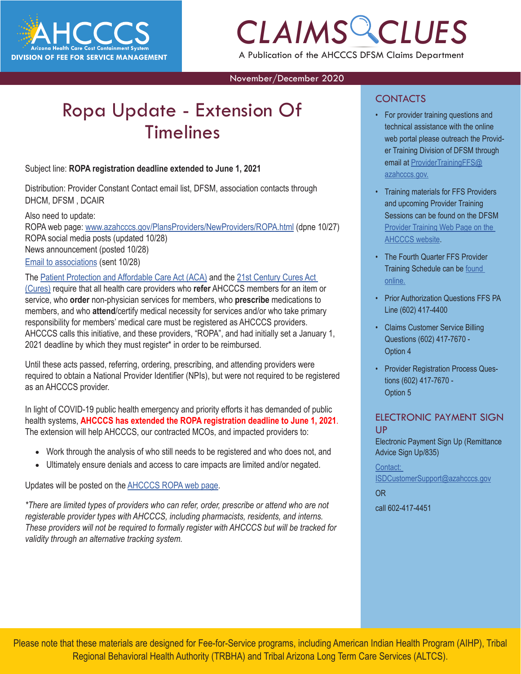

# *CLAIMS CLUES* A Publication of the AHCCCS DFSM Claims Department

November/December 2020

# Ropa Update - Extension Of Timelines

Subject line: **ROPA registration deadline extended to June 1, 2021**

Distribution: Provider Constant Contact email list, DFSM, association contacts through DHCM, DFSM , DCAIR

Also need to update:

ROPA web page: [www.azahcccs.gov/PlansProviders/NewProviders/ROPA.html](https://www.azahcccs.gov/PlansProviders/NewProviders/ROPA.html) (dpne 10/27) ROPA social media posts (updated 10/28) News announcement (posted 10/28) [Email to associations](https://docs.google.com/document/d/1wNF7yRorI0vqUEduUZpPLm8EZFXqNUff92yLtOZ5R8M/edit) (sent 10/28)

#### The [Patient Protection and Affordable Care Act \(ACA\)](https://www.govinfo.gov/content/pkg/PLAW-111publ148/pdf/PLAW-111publ148.pdf) and the [21st Century Cures Act](https://www.govinfo.gov/content/pkg/PLAW-114publ255/pdf/PLAW-114publ255.pdf)

[\(Cures\)](https://www.govinfo.gov/content/pkg/PLAW-114publ255/pdf/PLAW-114publ255.pdf) require that all health care providers who **refer** AHCCCS members for an item or service, who **order** non-physician services for members, who **prescribe** medications to members, and who **attend**/certify medical necessity for services and/or who take primary responsibility for members' medical care must be registered as AHCCCS providers. AHCCCS calls this initiative, and these providers, "ROPA", and had initially set a January 1, 2021 deadline by which they must register\* in order to be reimbursed.

Until these acts passed, referring, ordering, prescribing, and attending providers were required to obtain a National Provider Identifier (NPIs), but were not required to be registered as an AHCCCS provider.

In light of COVID-19 public health emergency and priority efforts it has demanded of public health systems, **AHCCCS has extended the ROPA registration deadline to June 1, 2021**. The extension will help AHCCCS, our contracted MCOs, and impacted providers to:

- Work through the analysis of who still needs to be registered and who does not, and
- Ultimately ensure denials and access to care impacts are limited and/or negated.

Updates will be posted on the [AHCCCS ROPA web page](https://www.azahcccs.gov/PlansProviders/NewProviders/ROPA.html).

*\*There are limited types of providers who can refer, order, prescribe or attend who are not registerable provider types with AHCCCS, including pharmacists, residents, and interns. These providers will not be required to formally register with AHCCCS but will be tracked for validity through an alternative tracking system.*

#### **CONTACTS**

- For provider training questions and<br>
technical assistance with the online<br>
web portal please outreach the Providtechnical assistance with the online web portal please outreach the Provider Training Division of DFSM through email at [ProviderTrainingFFS@](mailto:ProviderTrainingFFS%40azahcccs.gov.?subject=) [azahcccs.gov.](mailto:ProviderTrainingFFS%40azahcccs.gov.?subject=)
	- Training materials for FFS Providers and upcoming Provider Training Sessions can be found on the DFSM [Provider Training Web Page on the](https://www.azahcccs.gov/Resources/Downloads/DFMSTraining/2020/FourthQuarterTrainingSchedule2020.pd) [AHCCCS website](https://www.azahcccs.gov/Resources/Downloads/DFMSTraining/2020/FourthQuarterTrainingSchedule2020.pd).
	- The Fourth Quarter FFS Provider Training Schedule can be [found](https://www.azahcccs.gov/Resources/Downloads/DFMSTraining/2020/FourthQuarterTrainingSchedule2020.pdf) [online.](https://www.azahcccs.gov/Resources/Downloads/DFMSTraining/2020/FourthQuarterTrainingSchedule2020.pdf)
	- Prior Authorization Questions FFS PA Line (602) 417-4400
	- Claims Customer Service Billing Questions (602) 417-7670 - Option 4
	- Provider Registration Process Questions (602) 417-7670 - Option 5

#### ELECTRONIC PAYMENT SIGN UP

Electronic Payment Sign Up (Remittance Advice Sign Up/835)

[Contact:](mailto:ISDCustomerSupport%40azahcccs.gov?subject=)  [ISDCustomerSupport@azahcccs.gov](mailto:ISDCustomerSupport%40azahcccs.gov?subject=)

[OR](mailto:ISDCustomerSupport%40azahcccs.gov?subject=)

[call 602-417-4451](mailto:ISDCustomerSupport%40azahcccs.gov?subject=)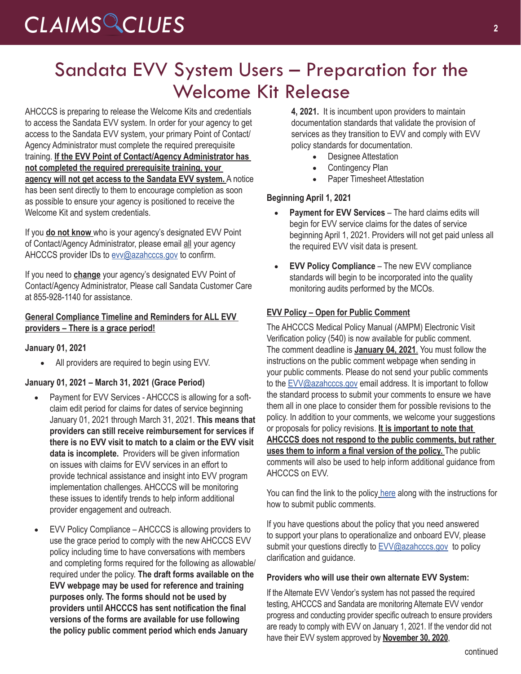# Sandata EVV System Users – Preparation for the Welcome Kit Release

AHCCCS is preparing to release the Welcome Kits and credentials to access the Sandata EVV system. In order for your agency to get access to the Sandata EVV system, your primary Point of Contact/ Agency Administrator must complete the required prerequisite training. **If the EVV Point of Contact/Agency Administrator has not completed the required prerequisite training, your agency will not get access to the Sandata EVV system.** A notice has been sent directly to them to encourage completion as soon as possible to ensure your agency is positioned to receive the Welcome Kit and system credentials.

If you **do not know** who is your agency's designated EVV Point of Contact/Agency Administrator, please email all your agency AHCCCS provider IDs to [evv@azahcccs.gov](mailto:evv@azahcccs.gov) to confirm.

If you need to **change** your agency's designated EVV Point of Contact/Agency Administrator, Please call Sandata Customer Care at 855-928-1140 for assistance.

#### **General Compliance Timeline and Reminders for ALL EVV providers – There is a grace period!**

#### **January 01, 2021**

• All providers are required to begin using EVV.

#### **January 01, 2021 – March 31, 2021 (Grace Period)**

- Payment for EVV Services AHCCCS is allowing for a softclaim edit period for claims for dates of service beginning January 01, 2021 through March 31, 2021. **This means that providers can still receive reimbursement for services if there is no EVV visit to match to a claim or the EVV visit data is incomplete.** Providers will be given information on issues with claims for EVV services in an effort to provide technical assistance and insight into EVV program implementation challenges. AHCCCS will be monitoring these issues to identify trends to help inform additional provider engagement and outreach.
- EVV Policy Compliance AHCCCS is allowing providers to use the grace period to comply with the new AHCCCS EVV policy including time to have conversations with members and completing forms required for the following as allowable/ required under the policy. **The draft forms available on the EVV webpage may be used for reference and training purposes only. The forms should not be used by providers until AHCCCS has sent notification the final versions of the forms are available for use following the policy public comment period which ends January**

**4, 2021.** It is incumbent upon providers to maintain documentation standards that validate the provision of services as they transition to EVV and comply with EVV policy standards for documentation.

- **Designee Attestation**
- Contingency Plan
- Paper Timesheet Attestation

#### **Beginning April 1, 2021**

- **Payment for EVV Services** The hard claims edits will begin for EVV service claims for the dates of service beginning April 1, 2021. Providers will not get paid unless all the required EVV visit data is present.
- • **EVV Policy Compliance** The new EVV compliance standards will begin to be incorporated into the quality monitoring audits performed by the MCOs.

#### **EVV Policy – Open for Public Comment**

The AHCCCS Medical Policy Manual (AMPM) Electronic Visit Verification policy (540) is now available for public comment. The comment deadline is **January 04, 2021**. You must follow the instructions on the public comment webpage when sending in your public comments. Please do not send your public comments to the [EVV@azahcccs.gov](mailto:EVV@azahcccs.gov) email address. It is important to follow the standard process to submit your comments to ensure we have them all in one place to consider them for possible revisions to the policy. In addition to your comments, we welcome your suggestions or proposals for policy revisions. **It is important to note that AHCCCS does not respond to the public comments, but rather uses them to inform a final version of the policy.** The public comments will also be used to help inform additional guidance from AHCCCS on EVV.

You can find the link to the policy [here](http://r20.rs6.net/tn.jsp?f=001urENXKGuzIFRjRiELyv4N5j8OWj_xv0dqBkzdDyiJ7hvCq7O99uUQC5psehOkzTwseOr9niWcOe52vH0aGEL7Id-wT4CtcKhva-3iHzFVRLd_KsiTetOzDFPQy38Isxr24HdyBReyopOa082E20Lqts15gW6_V0SV535XNZdXf4USvA8ufSlACNW175FwpQAbmhNlxj-zDhAU97rMN5ewHAM3Alf_64mcXFbOgDNEzdu_phhbJUjBQ==&c=f7sAR2W_pQiWveWJhx873a6z59AXShKaUKTiG9KN7MLdIDUns4yrHg==&ch=Nyvv6dpCGjWjNo_gnkgBJ44raI5O8J8o_p48V4vcjdnDRN4b5W7l7g==) along with the instructions for how to submit public comments.

If you have questions about the policy that you need answered to support your plans to operationalize and onboard EVV, please submit your questions directly to **EVV@azahcccs.gov** to policy clarification and guidance.

#### **Providers who will use their own alternate EVV System:**

If the Alternate EVV Vendor's system has not passed the required testing, AHCCCS and Sandata are monitoring Alternate EVV vendor progress and conducting provider specific outreach to ensure providers are ready to comply with EVV on January 1, 2021. If the vendor did not have their EVV system approved by **November 30, 2020**,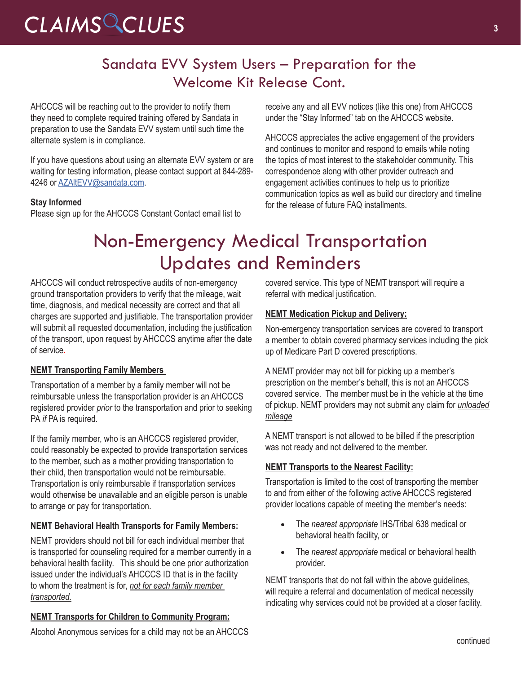### Sandata EVV System Users – Preparation for the Welcome Kit Release Cont.

AHCCCS will be reaching out to the provider to notify them they need to complete required training offered by Sandata in preparation to use the Sandata EVV system until such time the alternate system is in compliance.

If you have questions about using an alternate EVV system or are waiting for testing information, please contact support at 844-289- 4246 or AZAItEVV@sandata.com.

#### **Stay Informed**

Please sign up for the AHCCCS Constant Contact email list to

receive any and all EVV notices (like this one) from AHCCCS under the "Stay Informed" tab on the AHCCCS website.

AHCCCS appreciates the active engagement of the providers and continues to monitor and respond to emails while noting the topics of most interest to the stakeholder community. This correspondence along with other provider outreach and engagement activities continues to help us to prioritize communication topics as well as build our directory and timeline for the release of future FAQ installments.

# Non-Emergency Medical Transportation Updates and Reminders

AHCCCS will conduct retrospective audits of non-emergency ground transportation providers to verify that the mileage, wait time, diagnosis, and medical necessity are correct and that all charges are supported and justifiable. The transportation provider will submit all requested documentation, including the justification of the transport, upon request by AHCCCS anytime after the date of service.

#### **NEMT Transporting Family Members**

Transportation of a member by a family member will not be reimbursable unless the transportation provider is an AHCCCS registered provider *prior* to the transportation and prior to seeking PA *if* PA is required.

If the family member, who is an AHCCCS registered provider, could reasonably be expected to provide transportation services to the member, such as a mother providing transportation to their child, then transportation would not be reimbursable. Transportation is only reimbursable if transportation services would otherwise be unavailable and an eligible person is unable to arrange or pay for transportation.

#### **NEMT Behavioral Health Transports for Family Members:**

NEMT providers should not bill for each individual member that is transported for counseling required for a member currently in a behavioral health facility. This should be one prior authorization issued under the individual's AHCCCS ID that is in the facility to whom the treatment is for, *not for each family member transported.*

#### **NEMT Transports for Children to Community Program:**

covered service. This type of NEMT transport will require a referral with medical justification.

#### **NEMT Medication Pickup and Delivery:**

Non-emergency transportation services are covered to transport a member to obtain covered pharmacy services including the pick up of Medicare Part D covered prescriptions.

A NEMT provider may not bill for picking up a member's prescription on the member's behalf, this is not an AHCCCS covered service. The member must be in the vehicle at the time of pickup. NEMT providers may not submit any claim for *unloaded mileage*

A NEMT transport is not allowed to be billed if the prescription was not ready and not delivered to the member.

#### **NEMT Transports to the Nearest Facility:**

Transportation is limited to the cost of transporting the member to and from either of the following active AHCCCS registered provider locations capable of meeting the member's needs:

- • The *nearest appropriate* IHS/Tribal 638 medical or behavioral health facility, or
- • The *nearest appropriate* medical or behavioral health provider.

NEMT transports that do not fall within the above guidelines, will require a referral and documentation of medical necessity indicating why services could not be provided at a closer facility.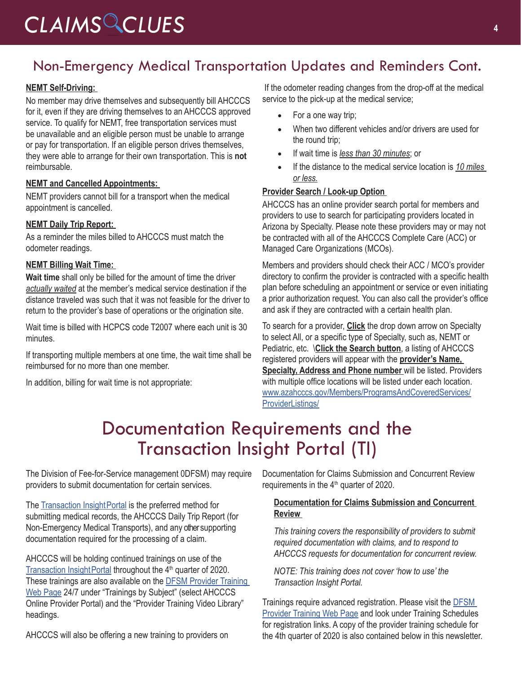### Non-Emergency Medical Transportation Updates and Reminders Cont.

#### **NEMT Self-Driving:**

No member may drive themselves and subsequently bill AHCCCS for it, even if they are driving themselves to an AHCCCS approved service. To qualify for NEMT, free transportation services must be unavailable and an eligible person must be unable to arrange or pay for transportation. If an eligible person drives themselves, they were able to arrange for their own transportation. This is **not** reimbursable.

#### **NEMT and Cancelled Appointments:**

NEMT providers cannot bill for a transport when the medical appointment is cancelled.

#### **NEMT Daily Trip Report:**

As a reminder the miles billed to AHCCCS must match the odometer readings.

#### **NEMT Billing Wait Time:**

**Wait time** shall only be billed for the amount of time the driver *actually waited* at the member's medical service destination if the distance traveled was such that it was not feasible for the driver to return to the provider's base of operations or the origination site.

Wait time is billed with HCPCS code T2007 where each unit is 30 minutes.

If transporting multiple members at one time, the wait time shall be reimbursed for no more than one member.

In addition, billing for wait time is not appropriate:

 If the odometer reading changes from the drop-off at the medical service to the pick-up at the medical service;

- For a one way trip;
- When two different vehicles and/or drivers are used for the round trip;
- • If wait time is *less than 30 minutes*; or
- If the distance to the medical service location is 10 miles *or less.*

#### **Provider Search / Look-up Option**

AHCCCS has an online provider search portal for members and providers to use to search for participating providers located in Arizona by Specialty. Please note these providers may or may not be contracted with all of the AHCCCS Complete Care (ACC) or Managed Care Organizations (MCOs).

Members and providers should check their ACC / MCO's provider directory to confirm the provider is contracted with a specific health plan before scheduling an appointment or service or even initiating a prior authorization request. You can also call the provider's office and ask if they are contracted with a certain health plan.

To search for a provider, **Click** the drop down arrow on Specialty to select All, or a specific type of Specialty, such as, NEMT or Pediatric, etc. \**Click the Search button**, a listing of AHCCCS registered providers will appear with the **provider's Name, Specialty, Address and Phone number** will be listed. Providers with multiple office locations will be listed under each location. [www.azahcccs.gov/Members/ProgramsAndCoveredServices/](https://www.azahcccs.gov/Members/ProgramsAndCoveredServices/ProviderListings/) [ProviderListings/](https://www.azahcccs.gov/Members/ProgramsAndCoveredServices/ProviderListings/)

## Documentation Requirements and the Transaction Insight Portal (TI)

The Division of Fee-for-Service management 0DFSM) may require providers to submit documentation for certain services.

The Transaction Insight Portal is the preferred method for submitting medical records, the AHCCCS Daily Trip Report (for Non-Emergency Medical Transports), and any other supporting documentation required for the processing of a claim.

AHCCCS will be holding continued trainings on use of the Transaction Insight Portal throughout the  $4<sup>th</sup>$  quarter of 2020. These trainings are also available on the [DFSM Provider Training](https://www.azahcccs.gov/Resources/Training/DFSM_Training.html)  [Web Page](https://www.azahcccs.gov/Resources/Training/DFSM_Training.html) 24/7 under "Trainings by Subject" (select AHCCCS Online Provider Portal) and the "Provider Training Video Library" headings.

AHCCCS will also be offering a new training to providers on

Documentation for Claims Submission and Concurrent Review requirements in the 4<sup>th</sup> quarter of 2020.

#### **Documentation for Claims Submission and Concurrent Review**

*This training covers the responsibility of providers to submit required documentation with claims, and to respond to AHCCCS requests for documentation for concurrent review.* 

*NOTE: This training does not cover 'how to use' the Transaction Insight Portal.* 

Trainings require advanced registration. Please visit the **DFSM** [Provider Training Web Page](https://www.azahcccs.gov/Resources/Training/DFSM_Training.html) and look under Training Schedules for registration links. A copy of the provider training schedule for the 4th quarter of 2020 is also contained below in this newsletter.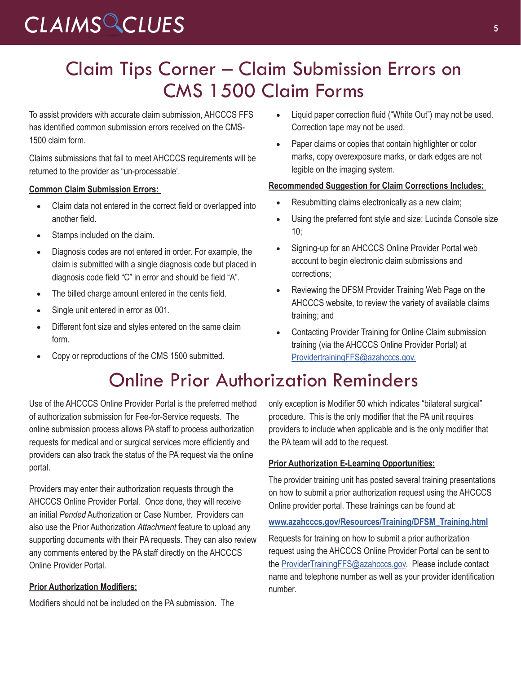# *CLAIMS CLUES* **<sup>5</sup>**

# Claim Tips Corner – Claim Submission Errors on CMS 1500 Claim Forms

To assist providers with accurate claim submission, AHCCCS FFS has identified common submission errors received on the CMS-1500 claim form.

Claims submissions that fail to meet AHCCCS requirements will be returned to the provider as "un-processable'.

#### **Common Claim Submission Errors:**

- Claim data not entered in the correct field or overlapped into another field.
- Stamps included on the claim.
- Diagnosis codes are not entered in order. For example, the claim is submitted with a single diagnosis code but placed in diagnosis code field "C" in error and should be field "A".
- The billed charge amount entered in the cents field.
- Single unit entered in error as 001.
- Different font size and styles entered on the same claim form.
- • Copy or reproductions of the CMS 1500 submitted.
- Liquid paper correction fluid ("White Out") may not be used. Correction tape may not be used.
- Paper claims or copies that contain highlighter or color marks, copy overexposure marks, or dark edges are not legible on the imaging system.

#### **Recommended Suggestion for Claim Corrections Includes:**

- Resubmitting claims electronically as a new claim;
- Using the preferred font style and size: Lucinda Console size  $10:$
- Signing-up for an AHCCCS Online Provider Portal web account to begin electronic claim submissions and corrections;
- Reviewing the DFSM Provider Training Web Page on the AHCCCS website, to review the variety of available claims training; and
- Contacting Provider Training for Online Claim submission training (via the AHCCCS Online Provider Portal) at [ProvidertrainingFFS@azahcccs.gov](mailto:ProvidertrainingFFS@azahcccs.gov).

## Online Prior Authorization Reminders

Use of the AHCCCS Online Provider Portal is the preferred method of authorization submission for Fee-for-Service requests. The online submission process allows PA staff to process authorization requests for medical and or surgical services more efficiently and providers can also track the status of the PA request via the online portal.

Providers may enter their authorization requests through the AHCCCS Online Provider Portal. Once done, they will receive an initial *Pended* Authorization or Case Number. Providers can also use the Prior Authorization *Attachment* feature to upload any supporting documents with their PA requests. They can also review any comments entered by the PA staff directly on the AHCCCS Online Provider Portal.

#### **Prior Authorization Modifiers:**

Modifiers should not be included on the PA submission. The

only exception is Modifier 50 which indicates "bilateral surgical" procedure. This is the only modifier that the PA unit requires providers to include when applicable and is the only modifier that the PA team will add to the request.

#### **Prior Authorization E-Learning Opportunities:**

The provider training unit has posted several training presentations on how to submit a prior authorization request using the AHCCCS Online provider portal. These trainings can be found at:

#### **[www.azahcccs.gov/Resources/Training/DFSM\\_Training.html](https://www.azahcccs.gov/Resources/Training/DFSM_Training.html)**

Requests for training on how to submit a prior authorization request using the AHCCCS Online Provider Portal can be sent to the [ProviderTrainingFFS@azahcccs.gov.](mailto:ProviderTrainingFFS@azahcccs.gov) Please include contact name and telephone number as well as your provider identification number.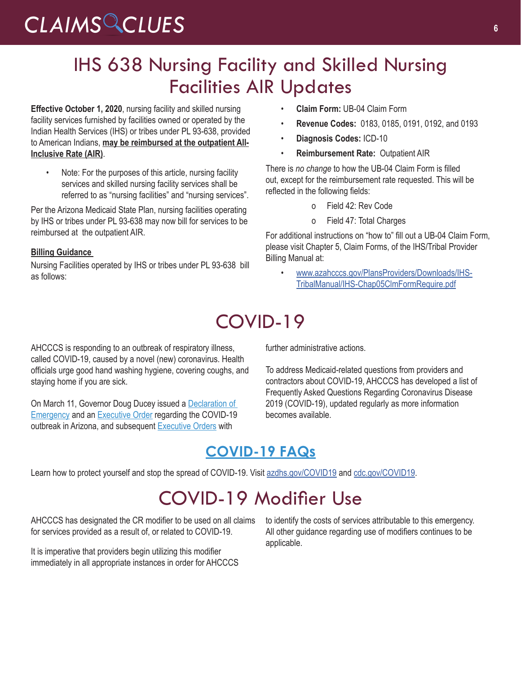# *CLAIMS CLUES* **<sup>6</sup>**

# IHS 638 Nursing Facility and Skilled Nursing Facilities AIR Updates

**Effective October 1, 2020**, nursing facility and skilled nursing facility services furnished by facilities owned or operated by the Indian Health Services (IHS) or tribes under PL 93-638, provided to American Indians, **may be reimbursed at the outpatient All-Inclusive Rate (AIR)**.

Note: For the purposes of this article, nursing facility services and skilled nursing facility services shall be referred to as "nursing facilities" and "nursing services".

Per the Arizona Medicaid State Plan, nursing facilities operating by IHS or tribes under PL 93-638 may now bill for services to be reimbursed at the outpatient AIR.

#### **Billing Guidance**

Nursing Facilities operated by IHS or tribes under PL 93-638 bill as follows:

- **Claim Form:** UB-04 Claim Form
- **Revenue Codes:** 0183, 0185, 0191, 0192, and 0193
- **Diagnosis Codes:** ICD-10
- **Reimbursement Rate:** Outpatient AIR

There is *no change* to how the UB-04 Claim Form is filled out, except for the reimbursement rate requested. This will be reflected in the following fields:

- o Field 42: Rev Code
- o Field 47: Total Charges

For additional instructions on "how to" fill out a UB-04 Claim Form, please visit Chapter 5, Claim Forms, of the IHS/Tribal Provider Billing Manual at:

• [www.azahcccs.gov/PlansProviders/Downloads/IHS-](https://www.azahcccs.gov/PlansProviders/Downloads/IHS-TribalManual/IHS-Chap05ClmFormRequire.pdf)[TribalManual/IHS-Chap05ClmFormRequire.pdf](https://www.azahcccs.gov/PlansProviders/Downloads/IHS-TribalManual/IHS-Chap05ClmFormRequire.pdf)

# COVID-19

AHCCCS is responding to an outbreak of respiratory illness, called COVID-19, caused by a novel (new) coronavirus. Health officials urge good hand washing hygiene, covering coughs, and staying home if you are sick.

On March 11, Governor Doug Ducey issued a [Declaration of](https://azgovernor.gov/sites/default/files/declaraton_0.pdf)  [Emergency](https://azgovernor.gov/sites/default/files/declaraton_0.pdf) and an [Executive Order](https://azgovernor.gov/sites/default/files/eo_2020-07.pdf) regarding the COVID-19 outbreak in Arizona, and subsequent [Executive Orders](https://azgovernor.gov/executive-orders) with

further administrative actions.

To address Medicaid-related questions from providers and contractors about COVID-19, AHCCCS has developed a list of Frequently Asked Questions Regarding Coronavirus Disease 2019 (COVID-19), updated regularly as more information becomes available.

### **[COVID-19 FAQs](https://azahcccs.gov/AHCCCS/AboutUs/covid19FAQ.html)**

Learn how to protect yourself and stop the spread of COVID-19. Visit [azdhs.gov/COVID19](http://www.azdhs.gov/COVID19) and [cdc.gov/COVID19.](http://cdc.gov/COVID19)

# COVID-19 Modifier Use

AHCCCS has designated the CR modifier to be used on all claims for services provided as a result of, or related to COVID-19.

It is imperative that providers begin utilizing this modifier immediately in all appropriate instances in order for AHCCCS to identify the costs of services attributable to this emergency. All other guidance regarding use of modifiers continues to be applicable.